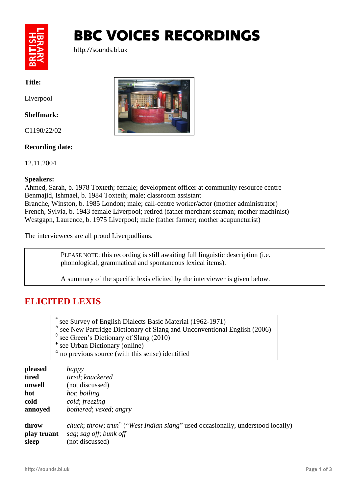

# BBC VOICES RECORDINGS

http://sounds.bl.uk

**Title:**

Liverpool

#### **Shelfmark:**

C1190/22/02

### **Recording date:**

12.11.2004

#### **Speakers:**

Ahmed, Sarah, b. 1978 Toxteth; female; development officer at community resource centre Benmajid, Ishmael, b. 1984 Toxteth; male; classroom assistant Branche, Winston, b. 1985 London; male; call-centre worker/actor (mother administrator) French, Sylvia, b. 1943 female Liverpool; retired (father merchant seaman; mother machinist) Westgaph, Laurence, b. 1975 Liverpool; male (father farmer; mother acupuncturist)

The interviewees are all proud Liverpudlians.

PLEASE NOTE: this recording is still awaiting full linguistic description (i.e. phonological, grammatical and spontaneous lexical items).

A summary of the specific lexis elicited by the interviewer is given below.

## **ELICITED LEXIS**

- \* see Survey of English Dialects Basic Material (1962-1971)
- ∆ see New Partridge Dictionary of Slang and Unconventional English (2006)
- $\degree$  see Green's Dictionary of Slang (2010)
- \* see Urban Dictionary (online)
- $\alpha$  no previous source (with this sense) identified

| pleased     | happy                                                                                                                               |
|-------------|-------------------------------------------------------------------------------------------------------------------------------------|
| tired       | tired; knackered                                                                                                                    |
| unwell      | (not discussed)                                                                                                                     |
| hot         | hot; boiling                                                                                                                        |
| cold        | cold; freezing                                                                                                                      |
| annoyed     | bothered; vexed; angry                                                                                                              |
| throw       | <i>chuck</i> ; <i>throw</i> ; <i>trun</i> <sup><math>\circ</math></sup> ("West Indian slang" used occasionally, understood locally) |
| play truant | sag; sag off; bunk off                                                                                                              |
| sleep       | (not discussed)                                                                                                                     |

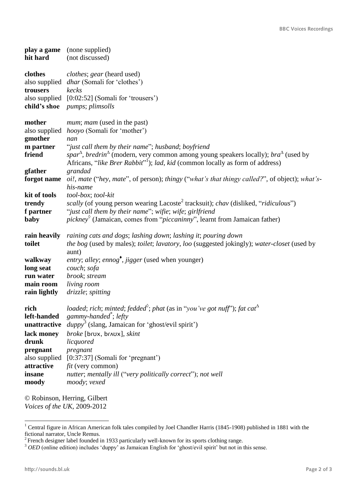| hit hard                                                                                                                 | play a game (none supplied)<br>(not discussed)                                                                                                                                                                                                                                                                                                                                                                                           |
|--------------------------------------------------------------------------------------------------------------------------|------------------------------------------------------------------------------------------------------------------------------------------------------------------------------------------------------------------------------------------------------------------------------------------------------------------------------------------------------------------------------------------------------------------------------------------|
| clothes<br>trousers                                                                                                      | <i>clothes</i> ; <i>gear</i> (heard used)<br>also supplied <i>dhar</i> (Somali for 'clothes')<br>kecks<br>also supplied [0:02:52] (Somali for 'trousers')<br>child's shoe pumps; plimsolls                                                                                                                                                                                                                                               |
| mother<br>also supplied<br>gmother<br>m partner<br>friend                                                                | <i>mum; mam</i> (used in the past)<br>hooyo (Somali for 'mother')<br>nan<br>"just call them by their name"; husband; boyfriend<br>spar <sup><math>\Delta</math></sup> , bredrin <sup><math>\Delta</math></sup> (modern, very common among young speakers locally); bra <sup><math>\Delta</math></sup> (used by<br>Africans, "like Brer Rabbit" <sup>1</sup> ); lad, kid (common locally as form of address)                              |
| gfather                                                                                                                  | grandad<br>forgot name oi!, mate ("hey, mate", of person); thingy ("what's that thingy called?", of object); what's-<br>his-name                                                                                                                                                                                                                                                                                                         |
| kit of tools<br>trendy<br>f partner<br>baby                                                                              | tool-box; tool-kit<br><i>scally</i> (of young person wearing Lacoste <sup>2</sup> tracksuit); <i>chav</i> (disliked, " <i>ridiculous</i> ")<br>"just call them by their name"; wifie; wife; girlfriend<br>$picture$ <sup><math>\circ</math></sup> (Jamaican, comes from " <i>piccaninny</i> ", learnt from Jamaican father)                                                                                                              |
| rain heavily<br>toilet                                                                                                   | raining cats and dogs; lashing down; lashing it; pouring down<br>the bog (used by males); toilet; lavatory, loo (suggested jokingly); water-closet (used by<br>aunt)                                                                                                                                                                                                                                                                     |
| walkway<br>long seat<br>run water<br>main room<br>rain lightly                                                           | entry; alley; ennog <sup>*</sup> , jigger (used when younger)<br>couch; sofa<br>brook; stream<br>living room<br>drizzle; spitting                                                                                                                                                                                                                                                                                                        |
| rich<br>left-handed<br>unattractive<br>lack money<br>drunk<br>pregnant<br>also supplied<br>attractive<br>insane<br>moody | <i>loaded; rich; minted; fedded<sup>*</sup>; phat (as in "you've got nuff"); fat cat</i> <sup><math>\triangle</math></sup><br>gammy-handed <sup>*</sup> ; lefty<br>duppy <sup>3</sup> (slang, Jamaican for 'ghost/evil spirit')<br>broke [brux, br^ux], skint<br>licquored<br>pregnant<br>$[0:37:37]$ (Somali for 'pregnant')<br><i>fit</i> (very common)<br>nutter; mentally ill ("very politically correct"); not well<br>moody; vexed |

© Robinson, Herring, Gilbert *Voices of the UK*, 2009-2012

-

<sup>&</sup>lt;sup>1</sup> Central figure in African American folk tales compiled by Joel Chandler Harris (1845-1908) published in 1881 with the fictional narrator, Uncle Remus.<br><sup>2</sup> French designer label founded in 1933 particularly well-known for its sports clothing range.

<sup>&</sup>lt;sup>3</sup> *OED* (online edition) includes 'duppy' as Jamaican English for 'ghost/evil spirit' but not in this sense.